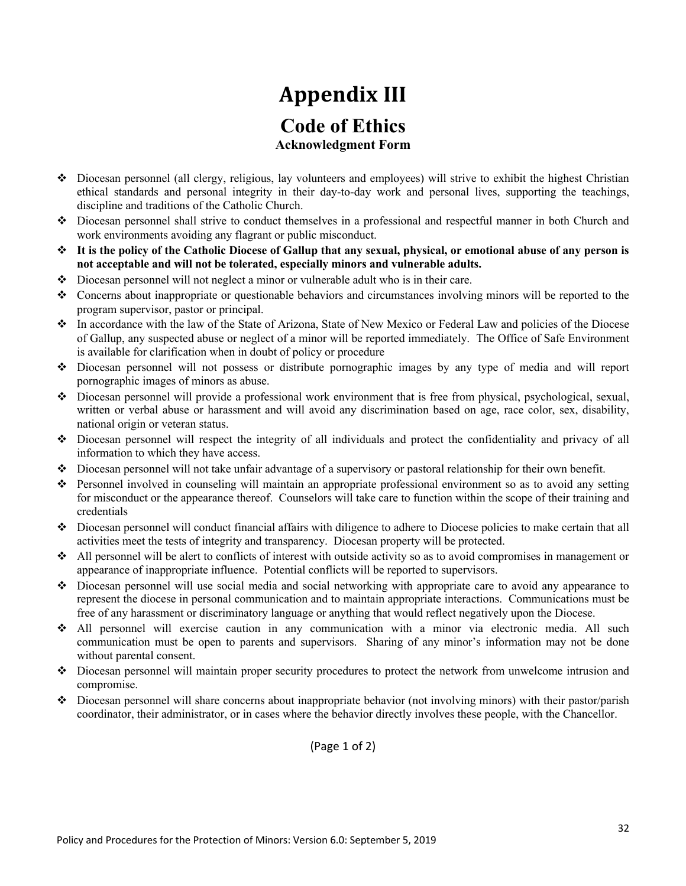## **Appendix III Code of Ethics Acknowledgment Form**

- v Diocesan personnel (all clergy, religious, lay volunteers and employees) will strive to exhibit the highest Christian ethical standards and personal integrity in their day-to-day work and personal lives, supporting the teachings, discipline and traditions of the Catholic Church.
- v Diocesan personnel shall strive to conduct themselves in a professional and respectful manner in both Church and work environments avoiding any flagrant or public misconduct.
- v **It is the policy of the Catholic Diocese of Gallup that any sexual, physical, or emotional abuse of any person is not acceptable and will not be tolerated, especially minors and vulnerable adults.**
- $\bullet$  Diocesan personnel will not neglect a minor or vulnerable adult who is in their care.
- $\bullet$  Concerns about inappropriate or questionable behaviors and circumstances involving minors will be reported to the program supervisor, pastor or principal.
- v In accordance with the law of the State of Arizona, State of New Mexico or Federal Law and policies of the Diocese of Gallup, any suspected abuse or neglect of a minor will be reported immediately. The Office of Safe Environment is available for clarification when in doubt of policy or procedure
- v Diocesan personnel will not possess or distribute pornographic images by any type of media and will report pornographic images of minors as abuse.
- $\bullet$  Diocesan personnel will provide a professional work environment that is free from physical, psychological, sexual, written or verbal abuse or harassment and will avoid any discrimination based on age, race color, sex, disability, national origin or veteran status.
- $\bullet$  Diocesan personnel will respect the integrity of all individuals and protect the confidentiality and privacy of all information to which they have access.
- $\bullet$  Diocesan personnel will not take unfair advantage of a supervisory or pastoral relationship for their own benefit.
- v Personnel involved in counseling will maintain an appropriate professional environment so as to avoid any setting for misconduct or the appearance thereof. Counselors will take care to function within the scope of their training and credentials
- $\bullet$  Diocesan personnel will conduct financial affairs with diligence to adhere to Diocese policies to make certain that all activities meet the tests of integrity and transparency. Diocesan property will be protected.
- $\triangleleft$  All personnel will be alert to conflicts of interest with outside activity so as to avoid compromises in management or appearance of inappropriate influence. Potential conflicts will be reported to supervisors.
- v Diocesan personnel will use social media and social networking with appropriate care to avoid any appearance to represent the diocese in personal communication and to maintain appropriate interactions. Communications must be free of any harassment or discriminatory language or anything that would reflect negatively upon the Diocese.
- v All personnel will exercise caution in any communication with a minor via electronic media. All such communication must be open to parents and supervisors. Sharing of any minor's information may not be done without parental consent.
- v Diocesan personnel will maintain proper security procedures to protect the network from unwelcome intrusion and compromise.
- $\bullet$  Diocesan personnel will share concerns about inappropriate behavior (not involving minors) with their pastor/parish coordinator, their administrator, or in cases where the behavior directly involves these people, with the Chancellor.

(Page 1 of 2)